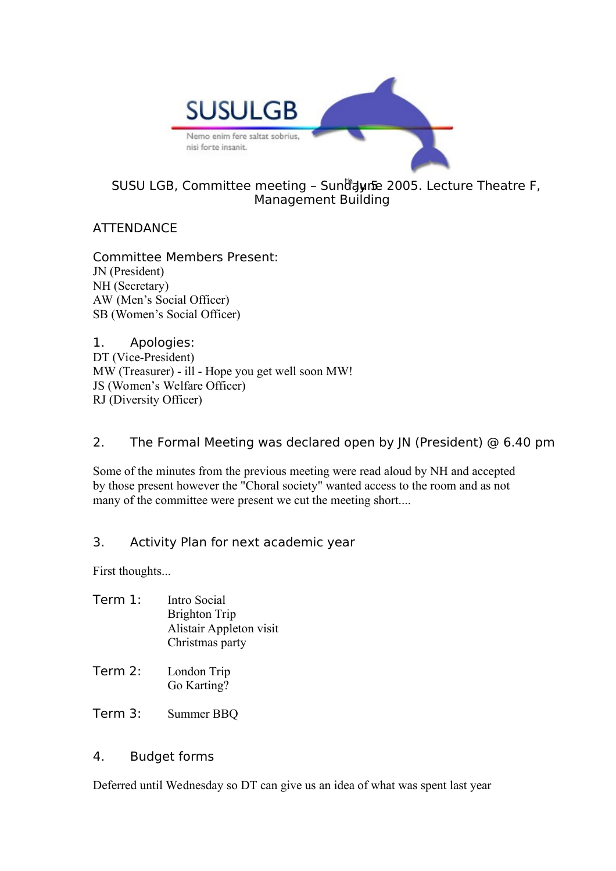

# SUSU LGB, Committee meeting - Sunddyrfe 2005. Lecture Theatre F, Management Building

# **ATTENDANCE**

Committee Members Present: JN (President) NH (Secretary) AW (Men's Social Officer) SB (Women's Social Officer)

1. Apologies: DT (Vice-President) MW (Treasurer) - ill - Hope you get well soon MW! JS (Women's Welfare Officer) RJ (Diversity Officer)

## 2. The Formal Meeting was declared open by JN (President) @ 6.40 pm

Some of the minutes from the previous meeting were read aloud by NH and accepted by those present however the "Choral society" wanted access to the room and as not many of the committee were present we cut the meeting short....

### 3. Activity Plan for next academic year

First thoughts...

| Term 1: | Intro Social            |
|---------|-------------------------|
|         | Brighton Trip           |
|         | Alistair Appleton visit |
|         | Christmas party         |
|         |                         |

- Term 2: London Trip Go Karting?
- Term 3: Summer BBQ

### 4. Budget forms

Deferred until Wednesday so DT can give us an idea of what was spent last year